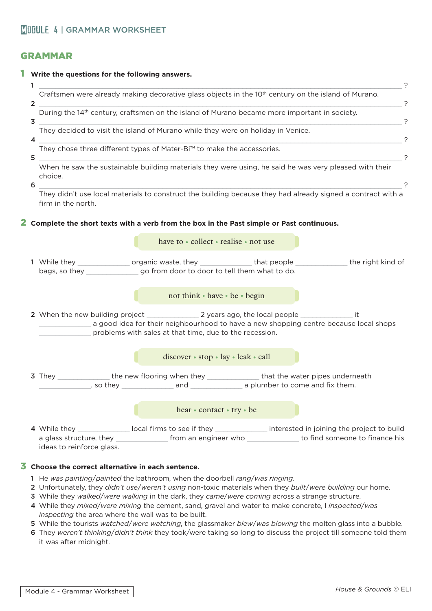## GRAMMAR

|  | Craftsmen were already making decorative glass objects in the 10 <sup>th</sup> century on the island of Murano.<br>$\overline{2}$<br>?<br>During the 14th century, craftsmen on the island of Murano became more important in society.<br>?<br>3<br>They decided to visit the island of Murano while they were on holiday in Venice.<br>?<br>4<br>They chose three different types of Mater-Bi <sup>™</sup> to make the accessories.<br>?<br>5<br>When he saw the sustainable building materials they were using, he said he was very pleased with their<br>choice.<br>?<br>6<br>They didn't use local materials to construct the building because they had already signed a contract with a<br>firm in the north. |                                       |  |                                                                                                                 |  |
|--|--------------------------------------------------------------------------------------------------------------------------------------------------------------------------------------------------------------------------------------------------------------------------------------------------------------------------------------------------------------------------------------------------------------------------------------------------------------------------------------------------------------------------------------------------------------------------------------------------------------------------------------------------------------------------------------------------------------------|---------------------------------------|--|-----------------------------------------------------------------------------------------------------------------|--|
|  |                                                                                                                                                                                                                                                                                                                                                                                                                                                                                                                                                                                                                                                                                                                    |                                       |  |                                                                                                                 |  |
|  |                                                                                                                                                                                                                                                                                                                                                                                                                                                                                                                                                                                                                                                                                                                    |                                       |  |                                                                                                                 |  |
|  |                                                                                                                                                                                                                                                                                                                                                                                                                                                                                                                                                                                                                                                                                                                    |                                       |  |                                                                                                                 |  |
|  |                                                                                                                                                                                                                                                                                                                                                                                                                                                                                                                                                                                                                                                                                                                    |                                       |  |                                                                                                                 |  |
|  |                                                                                                                                                                                                                                                                                                                                                                                                                                                                                                                                                                                                                                                                                                                    |                                       |  |                                                                                                                 |  |
|  | $2$ Complete the short texts with a verb from the box in the Past simple or Past continuous.                                                                                                                                                                                                                                                                                                                                                                                                                                                                                                                                                                                                                       |                                       |  |                                                                                                                 |  |
|  |                                                                                                                                                                                                                                                                                                                                                                                                                                                                                                                                                                                                                                                                                                                    | have to • collect • realise • not use |  |                                                                                                                 |  |
|  | bags, so they _________________go from door to door to tell them what to do.                                                                                                                                                                                                                                                                                                                                                                                                                                                                                                                                                                                                                                       |                                       |  | 1 While they __________________ organic waste, they _______________that people _______________the right kind of |  |
|  |                                                                                                                                                                                                                                                                                                                                                                                                                                                                                                                                                                                                                                                                                                                    | not think • have • be • begin         |  |                                                                                                                 |  |
|  | a good idea for their neighbourhood to have a new shopping centre because local shops<br>problems with sales at that time, due to the recession.                                                                                                                                                                                                                                                                                                                                                                                                                                                                                                                                                                   |                                       |  |                                                                                                                 |  |
|  |                                                                                                                                                                                                                                                                                                                                                                                                                                                                                                                                                                                                                                                                                                                    | discover · stop · lay · leak · call   |  |                                                                                                                 |  |
|  | 3 They ________________the new flooring when they ________________that the water pipes underneath                                                                                                                                                                                                                                                                                                                                                                                                                                                                                                                                                                                                                  |                                       |  |                                                                                                                 |  |
|  |                                                                                                                                                                                                                                                                                                                                                                                                                                                                                                                                                                                                                                                                                                                    | hear • contact • try • be             |  |                                                                                                                 |  |
|  |                                                                                                                                                                                                                                                                                                                                                                                                                                                                                                                                                                                                                                                                                                                    |                                       |  | 4 While they colocal firms to see if they content the interested in joining the project to build                |  |

- 1 He *was painting*/*painted* the bathroom, when the doorbell *rang*/*was ringing*.
- 2 Unfortunately, they *didn't use*/*weren't using* non-toxic materials when they *built*/*were building* our home.
- 3 While they *walked*/*were walking* in the dark, they *came*/*were coming* across a strange structure.
- 4 While they *mixed*/*were mixing* the cement, sand, gravel and water to make concrete, I *inspected*/*was inspecting* the area where the wall was to be built.
- 5 While the tourists *watched*/*were watching*, the glassmaker *blew*/*was blowing* the molten glass into a bubble.
- 6 They *weren't thinking*/*didn't think* they took/were taking so long to discuss the project till someone told them it was after midnight.